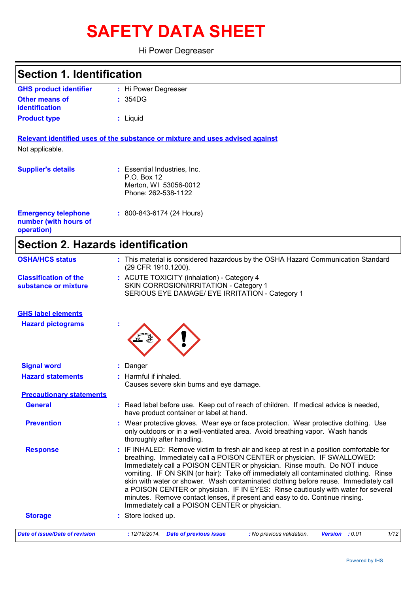# **SAFETY DATA SHEET**

Hi Power Degreaser

## **Section 1. Identification**

| <b>GHS product identifier</b> | : Hi Power Degreaser |
|-------------------------------|----------------------|
| <b>Other means of</b>         | : 354 <sub>DG</sub>  |
| identification                |                      |
| <b>Product type</b>           | : Liguid             |

**Relevant identified uses of the substance or mixture and uses advised against** Not applicable.

| <b>Supplier's details</b>                                         | : Essential Industries, Inc.<br>P.O. Box 12<br>Merton, WI 53056-0012<br>Phone: 262-538-1122 |
|-------------------------------------------------------------------|---------------------------------------------------------------------------------------------|
| <b>Emergency telephone</b><br>number (with hours of<br>operation) | $: 800 - 843 - 6174$ (24 Hours)                                                             |

## **Section 2. Hazards identification**

| <b>OSHA/HCS status</b>                               | : This material is considered hazardous by the OSHA Hazard Communication Standard<br>(29 CFR 1910.1200).                                                                                                                                                                                                                                                                                                                                                                                                                                                                                                                                                |  |  |  |  |  |
|------------------------------------------------------|---------------------------------------------------------------------------------------------------------------------------------------------------------------------------------------------------------------------------------------------------------------------------------------------------------------------------------------------------------------------------------------------------------------------------------------------------------------------------------------------------------------------------------------------------------------------------------------------------------------------------------------------------------|--|--|--|--|--|
| <b>Classification of the</b><br>substance or mixture | : ACUTE TOXICITY (inhalation) - Category 4<br>SKIN CORROSION/IRRITATION - Category 1<br>SERIOUS EYE DAMAGE/ EYE IRRITATION - Category 1                                                                                                                                                                                                                                                                                                                                                                                                                                                                                                                 |  |  |  |  |  |
| <b>GHS label elements</b>                            |                                                                                                                                                                                                                                                                                                                                                                                                                                                                                                                                                                                                                                                         |  |  |  |  |  |
| <b>Hazard pictograms</b>                             |                                                                                                                                                                                                                                                                                                                                                                                                                                                                                                                                                                                                                                                         |  |  |  |  |  |
| <b>Signal word</b>                                   | : Danger                                                                                                                                                                                                                                                                                                                                                                                                                                                                                                                                                                                                                                                |  |  |  |  |  |
| <b>Hazard statements</b>                             | : Harmful if inhaled.<br>Causes severe skin burns and eye damage.                                                                                                                                                                                                                                                                                                                                                                                                                                                                                                                                                                                       |  |  |  |  |  |
| <b>Precautionary statements</b>                      |                                                                                                                                                                                                                                                                                                                                                                                                                                                                                                                                                                                                                                                         |  |  |  |  |  |
| <b>General</b>                                       | : Read label before use. Keep out of reach of children. If medical advice is needed,<br>have product container or label at hand.                                                                                                                                                                                                                                                                                                                                                                                                                                                                                                                        |  |  |  |  |  |
| <b>Prevention</b>                                    | : Wear protective gloves. Wear eye or face protection. Wear protective clothing. Use<br>only outdoors or in a well-ventilated area. Avoid breathing vapor. Wash hands<br>thoroughly after handling.                                                                                                                                                                                                                                                                                                                                                                                                                                                     |  |  |  |  |  |
| <b>Response</b>                                      | : IF INHALED: Remove victim to fresh air and keep at rest in a position comfortable for<br>breathing. Immediately call a POISON CENTER or physician. IF SWALLOWED:<br>Immediately call a POISON CENTER or physician. Rinse mouth. Do NOT induce<br>vomiting. IF ON SKIN (or hair): Take off immediately all contaminated clothing. Rinse<br>skin with water or shower. Wash contaminated clothing before reuse. Immediately call<br>a POISON CENTER or physician. IF IN EYES: Rinse cautiously with water for several<br>minutes. Remove contact lenses, if present and easy to do. Continue rinsing.<br>Immediately call a POISON CENTER or physician. |  |  |  |  |  |
| <b>Storage</b>                                       | : Store locked up.                                                                                                                                                                                                                                                                                                                                                                                                                                                                                                                                                                                                                                      |  |  |  |  |  |
| <b>Date of issue/Date of revision</b>                | 1/12<br>: 12/19/2014 Date of previous issue<br>: No previous validation.<br>Version : 0.01                                                                                                                                                                                                                                                                                                                                                                                                                                                                                                                                                              |  |  |  |  |  |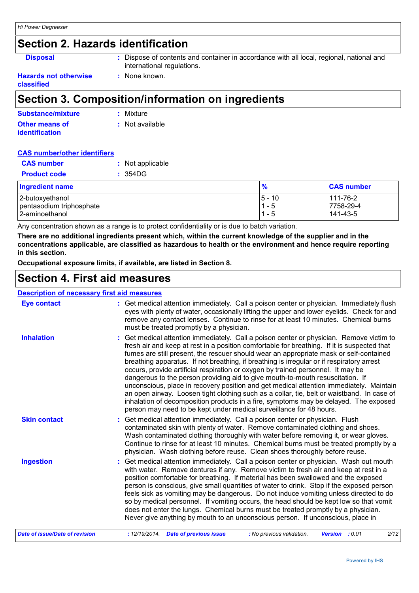### **Section 2. Hazards identification**

**Disposal :** Dispose of contents and container in accordance with all local, regional, national and international regulations.

#### **Hazards not otherwise classified**

### **Section 3. Composition/information on ingredients**

**:** None known.

| <b>Substance/mixture</b> | : Mixture       |
|--------------------------|-----------------|
| Other means of           | : Not available |
| <b>identification</b>    |                 |

#### **CAS number/other identifiers**

| <b>CAS number</b>        | : Not applicable |               |                   |
|--------------------------|------------------|---------------|-------------------|
| <b>Product code</b>      | : 354DG          |               |                   |
| <b>Ingredient name</b>   |                  | $\frac{9}{6}$ | <b>CAS number</b> |
| 2-butoxyethanol          |                  | $ 5 - 10$     | 111-76-2          |
| pentasodium triphosphate |                  | $1 - 5$       | 7758-29-4         |
| 2-aminoethanol           |                  | $1 - 5$       | 141-43-5          |

Any concentration shown as a range is to protect confidentiality or is due to batch variation.

**There are no additional ingredients present which, within the current knowledge of the supplier and in the concentrations applicable, are classified as hazardous to health or the environment and hence require reporting in this section.**

**Occupational exposure limits, if available, are listed in Section 8.**

### **Section 4. First aid measures**

### **Description of necessary first aid measures**

| <b>Eye contact</b>             | : Get medical attention immediately. Call a poison center or physician. Immediately flush<br>eyes with plenty of water, occasionally lifting the upper and lower eyelids. Check for and<br>remove any contact lenses. Continue to rinse for at least 10 minutes. Chemical burns<br>must be treated promptly by a physician.                                                                                                                                                                                                                                                                                                                                                                                                                                                                                                                                                                                  |
|--------------------------------|--------------------------------------------------------------------------------------------------------------------------------------------------------------------------------------------------------------------------------------------------------------------------------------------------------------------------------------------------------------------------------------------------------------------------------------------------------------------------------------------------------------------------------------------------------------------------------------------------------------------------------------------------------------------------------------------------------------------------------------------------------------------------------------------------------------------------------------------------------------------------------------------------------------|
| <b>Inhalation</b>              | : Get medical attention immediately. Call a poison center or physician. Remove victim to<br>fresh air and keep at rest in a position comfortable for breathing. If it is suspected that<br>fumes are still present, the rescuer should wear an appropriate mask or self-contained<br>breathing apparatus. If not breathing, if breathing is irregular or if respiratory arrest<br>occurs, provide artificial respiration or oxygen by trained personnel. It may be<br>dangerous to the person providing aid to give mouth-to-mouth resuscitation. If<br>unconscious, place in recovery position and get medical attention immediately. Maintain<br>an open airway. Loosen tight clothing such as a collar, tie, belt or waistband. In case of<br>inhalation of decomposition products in a fire, symptoms may be delayed. The exposed<br>person may need to be kept under medical surveillance for 48 hours. |
| <b>Skin contact</b>            | : Get medical attention immediately. Call a poison center or physician. Flush<br>contaminated skin with plenty of water. Remove contaminated clothing and shoes.<br>Wash contaminated clothing thoroughly with water before removing it, or wear gloves.<br>Continue to rinse for at least 10 minutes. Chemical burns must be treated promptly by a<br>physician. Wash clothing before reuse. Clean shoes thoroughly before reuse.                                                                                                                                                                                                                                                                                                                                                                                                                                                                           |
| <b>Ingestion</b>               | : Get medical attention immediately. Call a poison center or physician. Wash out mouth<br>with water. Remove dentures if any. Remove victim to fresh air and keep at rest in a<br>position comfortable for breathing. If material has been swallowed and the exposed<br>person is conscious, give small quantities of water to drink. Stop if the exposed person<br>feels sick as vomiting may be dangerous. Do not induce vomiting unless directed to do<br>so by medical personnel. If vomiting occurs, the head should be kept low so that vomit<br>does not enter the lungs. Chemical burns must be treated promptly by a physician.<br>Never give anything by mouth to an unconscious person. If unconscious, place in                                                                                                                                                                                  |
| Date of issue/Date of revision | : 12/19/2014 Date of previous issue<br>Version : 0.01<br>: No previous validation.<br>2/12                                                                                                                                                                                                                                                                                                                                                                                                                                                                                                                                                                                                                                                                                                                                                                                                                   |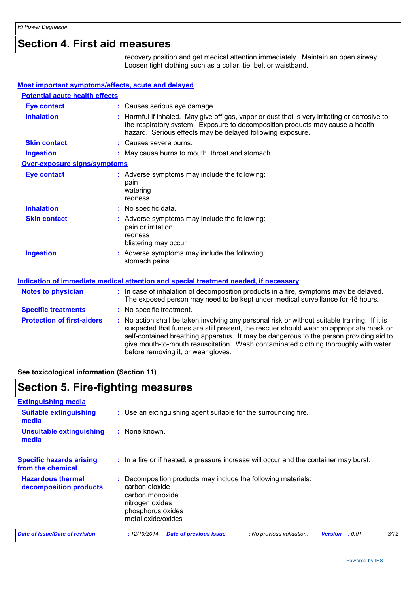### **Section 4. First aid measures**

recovery position and get medical attention immediately. Maintain an open airway. Loosen tight clothing such as a collar, tie, belt or waistband.

#### **Most important symptoms/effects, acute and delayed**

| <b>Potential acute health effects</b> |                                                                                                                                                                                                                                                                                                                                                                                                                 |
|---------------------------------------|-----------------------------------------------------------------------------------------------------------------------------------------------------------------------------------------------------------------------------------------------------------------------------------------------------------------------------------------------------------------------------------------------------------------|
| <b>Eye contact</b>                    | : Causes serious eye damage.                                                                                                                                                                                                                                                                                                                                                                                    |
| <b>Inhalation</b>                     | : Harmful if inhaled. May give off gas, vapor or dust that is very irritating or corrosive to<br>the respiratory system. Exposure to decomposition products may cause a health<br>hazard. Serious effects may be delayed following exposure.                                                                                                                                                                    |
| <b>Skin contact</b>                   | : Causes severe burns.                                                                                                                                                                                                                                                                                                                                                                                          |
| <b>Ingestion</b>                      | : May cause burns to mouth, throat and stomach.                                                                                                                                                                                                                                                                                                                                                                 |
| <b>Over-exposure signs/symptoms</b>   |                                                                                                                                                                                                                                                                                                                                                                                                                 |
| <b>Eye contact</b>                    | : Adverse symptoms may include the following:<br>pain<br>watering<br>redness                                                                                                                                                                                                                                                                                                                                    |
| <b>Inhalation</b>                     | : No specific data.                                                                                                                                                                                                                                                                                                                                                                                             |
| <b>Skin contact</b>                   | : Adverse symptoms may include the following:<br>pain or irritation<br>redness<br>blistering may occur                                                                                                                                                                                                                                                                                                          |
| <b>Ingestion</b>                      | : Adverse symptoms may include the following:<br>stomach pains                                                                                                                                                                                                                                                                                                                                                  |
|                                       | <u>Indication of immediate medical attention and special treatment needed, if necessary</u>                                                                                                                                                                                                                                                                                                                     |
| <b>Notes to physician</b>             | : In case of inhalation of decomposition products in a fire, symptoms may be delayed.<br>The exposed person may need to be kept under medical surveillance for 48 hours.                                                                                                                                                                                                                                        |
| <b>Specific treatments</b>            | : No specific treatment.                                                                                                                                                                                                                                                                                                                                                                                        |
| <b>Protection of first-aiders</b>     | : No action shall be taken involving any personal risk or without suitable training. If it is<br>suspected that fumes are still present, the rescuer should wear an appropriate mask or<br>self-contained breathing apparatus. It may be dangerous to the person providing aid to<br>give mouth-to-mouth resuscitation. Wash contaminated clothing thoroughly with water<br>before removing it, or wear gloves. |

**See toxicological information (Section 11)**

### **Section 5. Fire-fighting measures**

| <b>Extinguishing media</b>                           |                                                                                                                                                                  |  |  |  |
|------------------------------------------------------|------------------------------------------------------------------------------------------------------------------------------------------------------------------|--|--|--|
| <b>Suitable extinguishing</b><br>media               | : Use an extinguishing agent suitable for the surrounding fire.                                                                                                  |  |  |  |
| <b>Unsuitable extinguishing</b><br>media             | : None known.                                                                                                                                                    |  |  |  |
| <b>Specific hazards arising</b><br>from the chemical | : In a fire or if heated, a pressure increase will occur and the container may burst.                                                                            |  |  |  |
| <b>Hazardous thermal</b><br>decomposition products   | : Decomposition products may include the following materials:<br>carbon dioxide<br>carbon monoxide<br>nitrogen oxides<br>phosphorus oxides<br>metal oxide/oxides |  |  |  |
| Date of issue/Date of revision                       | 3/12<br><b>Date of previous issue</b><br>: 0.01<br>: 12/19/2014.<br>: No previous validation.<br><b>Version</b>                                                  |  |  |  |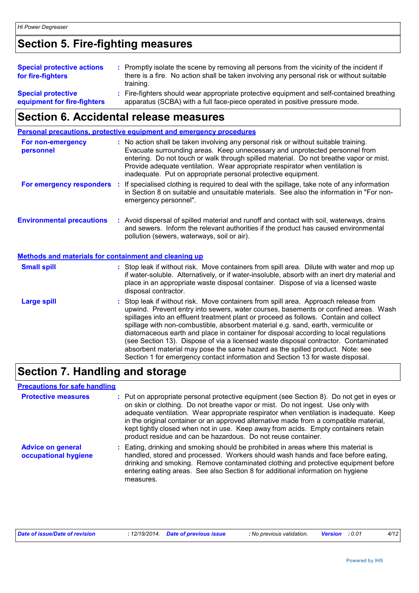## **Section 5. Fire-fighting measures**

| <b>Special protective actions</b><br>for fire-fighters | : Promptly isolate the scene by removing all persons from the vicinity of the incident if<br>there is a fire. No action shall be taken involving any personal risk or without suitable<br>training. |
|--------------------------------------------------------|-----------------------------------------------------------------------------------------------------------------------------------------------------------------------------------------------------|
| <b>Special protective</b>                              | : Fire-fighters should wear appropriate protective equipment and self-contained breathing                                                                                                           |
| equipment for fire-fighters                            | apparatus (SCBA) with a full face-piece operated in positive pressure mode.                                                                                                                         |

## **Section 6. Accidental release measures**

|                                                              | Personal precautions, protective equipment and emergency procedures                                                                                                                                                                                                                                                                                                                                                                                                                                                                                                                                                                                                                                        |
|--------------------------------------------------------------|------------------------------------------------------------------------------------------------------------------------------------------------------------------------------------------------------------------------------------------------------------------------------------------------------------------------------------------------------------------------------------------------------------------------------------------------------------------------------------------------------------------------------------------------------------------------------------------------------------------------------------------------------------------------------------------------------------|
| For non-emergency<br>personnel                               | : No action shall be taken involving any personal risk or without suitable training.<br>Evacuate surrounding areas. Keep unnecessary and unprotected personnel from<br>entering. Do not touch or walk through spilled material. Do not breathe vapor or mist.<br>Provide adequate ventilation. Wear appropriate respirator when ventilation is<br>inadequate. Put on appropriate personal protective equipment.                                                                                                                                                                                                                                                                                            |
| For emergency responders                                     | If specialised clothing is required to deal with the spillage, take note of any information<br>÷.<br>in Section 8 on suitable and unsuitable materials. See also the information in "For non-<br>emergency personnel".                                                                                                                                                                                                                                                                                                                                                                                                                                                                                     |
| <b>Environmental precautions</b>                             | : Avoid dispersal of spilled material and runoff and contact with soil, waterways, drains<br>and sewers. Inform the relevant authorities if the product has caused environmental<br>pollution (sewers, waterways, soil or air).                                                                                                                                                                                                                                                                                                                                                                                                                                                                            |
| <b>Methods and materials for containment and cleaning up</b> |                                                                                                                                                                                                                                                                                                                                                                                                                                                                                                                                                                                                                                                                                                            |
| <b>Small spill</b>                                           | : Stop leak if without risk. Move containers from spill area. Dilute with water and mop up<br>if water-soluble. Alternatively, or if water-insoluble, absorb with an inert dry material and<br>place in an appropriate waste disposal container. Dispose of via a licensed waste<br>disposal contractor.                                                                                                                                                                                                                                                                                                                                                                                                   |
| <b>Large spill</b>                                           | Stop leak if without risk. Move containers from spill area. Approach release from<br>upwind. Prevent entry into sewers, water courses, basements or confined areas. Wash<br>spillages into an effluent treatment plant or proceed as follows. Contain and collect<br>spillage with non-combustible, absorbent material e.g. sand, earth, vermiculite or<br>diatomaceous earth and place in container for disposal according to local regulations<br>(see Section 13). Dispose of via a licensed waste disposal contractor. Contaminated<br>absorbent material may pose the same hazard as the spilled product. Note: see<br>Section 1 for emergency contact information and Section 13 for waste disposal. |

## **Section 7. Handling and storage**

### **Precautions for safe handling**

| <b>Protective measures</b>                       | : Put on appropriate personal protective equipment (see Section 8). Do not get in eyes or<br>on skin or clothing. Do not breathe vapor or mist. Do not ingest. Use only with<br>adequate ventilation. Wear appropriate respirator when ventilation is inadequate. Keep<br>in the original container or an approved alternative made from a compatible material,<br>kept tightly closed when not in use. Keep away from acids. Empty containers retain<br>product residue and can be hazardous. Do not reuse container. |
|--------------------------------------------------|------------------------------------------------------------------------------------------------------------------------------------------------------------------------------------------------------------------------------------------------------------------------------------------------------------------------------------------------------------------------------------------------------------------------------------------------------------------------------------------------------------------------|
| <b>Advice on general</b><br>occupational hygiene | : Eating, drinking and smoking should be prohibited in areas where this material is<br>handled, stored and processed. Workers should wash hands and face before eating,<br>drinking and smoking. Remove contaminated clothing and protective equipment before<br>entering eating areas. See also Section 8 for additional information on hygiene<br>measures.                                                                                                                                                          |

| Date of issue/Date of revision |  | : 12/19/2014 Date of previous issue | : No previous validation. | <b>Version</b> : 0.01 |  |  |
|--------------------------------|--|-------------------------------------|---------------------------|-----------------------|--|--|
|--------------------------------|--|-------------------------------------|---------------------------|-----------------------|--|--|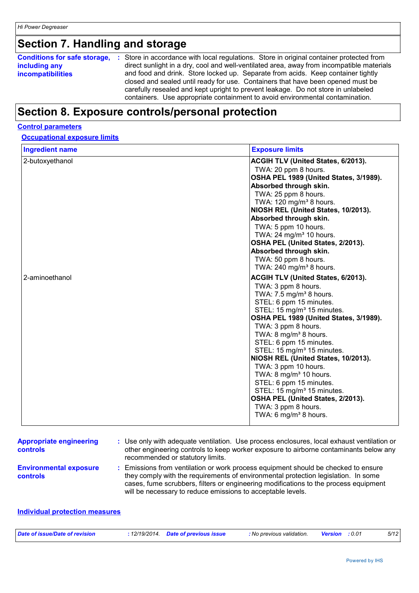## **Section 7. Handling and storage**

| <b>Conditions for safe storage,</b> | : Store in accordance with local regulations. Store in original container protected from  |
|-------------------------------------|-------------------------------------------------------------------------------------------|
| including any                       | direct sunlight in a dry, cool and well-ventilated area, away from incompatible materials |
| <b>incompatibilities</b>            | and food and drink. Store locked up. Separate from acids. Keep container tightly          |
|                                     | closed and sealed until ready for use. Containers that have been opened must be           |
|                                     | carefully resealed and kept upright to prevent leakage. Do not store in unlabeled         |
|                                     | containers. Use appropriate containment to avoid environmental contamination.             |

## **Section 8. Exposure controls/personal protection**

#### **Control parameters**

### **Occupational exposure limits**

| <b>Ingredient name</b> | <b>Exposure limits</b>                                                           |
|------------------------|----------------------------------------------------------------------------------|
| 2-butoxyethanol        | <b>ACGIH TLV (United States, 6/2013).</b>                                        |
|                        | TWA: 20 ppm 8 hours.                                                             |
|                        | OSHA PEL 1989 (United States, 3/1989).                                           |
|                        | Absorbed through skin.                                                           |
|                        | TWA: 25 ppm 8 hours.                                                             |
|                        | TWA: 120 mg/m <sup>3</sup> 8 hours.                                              |
|                        | NIOSH REL (United States, 10/2013).                                              |
|                        | Absorbed through skin.                                                           |
|                        | TWA: 5 ppm 10 hours.                                                             |
|                        | TWA: 24 mg/m <sup>3</sup> 10 hours.                                              |
|                        | OSHA PEL (United States, 2/2013).                                                |
|                        | Absorbed through skin.                                                           |
|                        | TWA: 50 ppm 8 hours.                                                             |
|                        | TWA: 240 mg/m <sup>3</sup> 8 hours.                                              |
| 2-aminoethanol         | <b>ACGIH TLV (United States, 6/2013).</b>                                        |
|                        | TWA: 3 ppm 8 hours.                                                              |
|                        | TWA: 7.5 mg/m <sup>3</sup> 8 hours.                                              |
|                        | STEL: 6 ppm 15 minutes.                                                          |
|                        | STEL: 15 mg/m <sup>3</sup> 15 minutes.<br>OSHA PEL 1989 (United States, 3/1989). |
|                        | TWA: 3 ppm 8 hours.                                                              |
|                        | TWA: 8 mg/m <sup>3</sup> 8 hours.                                                |
|                        | STEL: 6 ppm 15 minutes.                                                          |
|                        | STEL: 15 mg/m <sup>3</sup> 15 minutes.                                           |
|                        | NIOSH REL (United States, 10/2013).                                              |
|                        | TWA: 3 ppm 10 hours.                                                             |
|                        | TWA: 8 mg/m <sup>3</sup> 10 hours.                                               |
|                        | STEL: 6 ppm 15 minutes.                                                          |
|                        | STEL: 15 mg/m <sup>3</sup> 15 minutes.                                           |
|                        | OSHA PEL (United States, 2/2013).                                                |
|                        | TWA: 3 ppm 8 hours.                                                              |
|                        | TWA: 6 mg/m <sup>3</sup> 8 hours.                                                |
|                        |                                                                                  |

| <b>Appropriate engineering</b><br><b>controls</b> | : Use only with adequate ventilation. Use process enclosures, local exhaust ventilation or<br>other engineering controls to keep worker exposure to airborne contaminants below any<br>recommended or statutory limits.                                                                                                         |
|---------------------------------------------------|---------------------------------------------------------------------------------------------------------------------------------------------------------------------------------------------------------------------------------------------------------------------------------------------------------------------------------|
| <b>Environmental exposure</b><br><b>controls</b>  | : Emissions from ventilation or work process equipment should be checked to ensure<br>they comply with the requirements of environmental protection legislation. In some<br>cases, fume scrubbers, filters or engineering modifications to the process equipment<br>will be necessary to reduce emissions to acceptable levels. |

### **Individual protection measures**

| Date of issue/Date of revision | .12/19/2014. | <b>Date of previous issue</b> | : No previous validation. | : 0.01<br><b>Version</b> | 5/12 |
|--------------------------------|--------------|-------------------------------|---------------------------|--------------------------|------|
|                                |              |                               |                           |                          |      |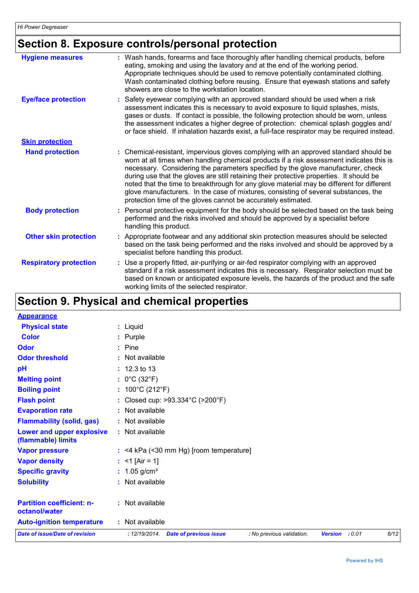## **Section 8. Exposure controls/personal protection**

| <b>Hygiene measures</b>       | : Wash hands, forearms and face thoroughly after handling chemical products, before<br>eating, smoking and using the lavatory and at the end of the working period.<br>Appropriate techniques should be used to remove potentially contaminated clothing.<br>Wash contaminated clothing before reusing. Ensure that eyewash stations and safety<br>showers are close to the workstation location.                                                                                                                                                                                                                      |
|-------------------------------|------------------------------------------------------------------------------------------------------------------------------------------------------------------------------------------------------------------------------------------------------------------------------------------------------------------------------------------------------------------------------------------------------------------------------------------------------------------------------------------------------------------------------------------------------------------------------------------------------------------------|
| <b>Eye/face protection</b>    | : Safety eyewear complying with an approved standard should be used when a risk<br>assessment indicates this is necessary to avoid exposure to liquid splashes, mists,<br>gases or dusts. If contact is possible, the following protection should be worn, unless<br>the assessment indicates a higher degree of protection: chemical splash goggles and/<br>or face shield. If inhalation hazards exist, a full-face respirator may be required instead.                                                                                                                                                              |
| <b>Skin protection</b>        |                                                                                                                                                                                                                                                                                                                                                                                                                                                                                                                                                                                                                        |
| <b>Hand protection</b>        | : Chemical-resistant, impervious gloves complying with an approved standard should be<br>worn at all times when handling chemical products if a risk assessment indicates this is<br>necessary. Considering the parameters specified by the glove manufacturer, check<br>during use that the gloves are still retaining their protective properties. It should be<br>noted that the time to breakthrough for any glove material may be different for different<br>glove manufacturers. In the case of mixtures, consisting of several substances, the<br>protection time of the gloves cannot be accurately estimated. |
| <b>Body protection</b>        | : Personal protective equipment for the body should be selected based on the task being<br>performed and the risks involved and should be approved by a specialist before<br>handling this product.                                                                                                                                                                                                                                                                                                                                                                                                                    |
| <b>Other skin protection</b>  | : Appropriate footwear and any additional skin protection measures should be selected<br>based on the task being performed and the risks involved and should be approved by a<br>specialist before handling this product.                                                                                                                                                                                                                                                                                                                                                                                              |
| <b>Respiratory protection</b> | : Use a properly fitted, air-purifying or air-fed respirator complying with an approved<br>standard if a risk assessment indicates this is necessary. Respirator selection must be<br>based on known or anticipated exposure levels, the hazards of the product and the safe<br>working limits of the selected respirator.                                                                                                                                                                                                                                                                                             |

## **Section 9. Physical and chemical properties**

| <b>Appearance</b>                                 |                                                                             |                          |      |
|---------------------------------------------------|-----------------------------------------------------------------------------|--------------------------|------|
| <b>Physical state</b>                             | : Liquid                                                                    |                          |      |
| <b>Color</b>                                      | : Purple                                                                    |                          |      |
| Odor                                              | $:$ Pine                                                                    |                          |      |
| <b>Odor threshold</b>                             | : Not available                                                             |                          |      |
| pH                                                | $: 12.3 \text{ to } 13$                                                     |                          |      |
| <b>Melting point</b>                              | : $0^{\circ}$ C (32 $^{\circ}$ F)                                           |                          |      |
| <b>Boiling point</b>                              | : $100^{\circ}$ C (212 $^{\circ}$ F)                                        |                          |      |
| <b>Flash point</b>                                | : Closed cup: >93.334°C (>200°F)                                            |                          |      |
| <b>Evaporation rate</b>                           | : Not available                                                             |                          |      |
| <b>Flammability (solid, gas)</b>                  | : Not available                                                             |                          |      |
| Lower and upper explosive<br>(flammable) limits   | : Not available                                                             |                          |      |
| <b>Vapor pressure</b>                             | $:$ <4 kPa (<30 mm Hg) [room temperature]                                   |                          |      |
| <b>Vapor density</b>                              | : <1 [Air = 1]                                                              |                          |      |
| <b>Specific gravity</b>                           | : $1.05$ g/cm <sup>3</sup>                                                  |                          |      |
| <b>Solubility</b>                                 | : Not available                                                             |                          |      |
| <b>Partition coefficient: n-</b><br>octanol/water | : Not available                                                             |                          |      |
| <b>Auto-ignition temperature</b>                  | : Not available                                                             |                          |      |
| <b>Date of issue/Date of revision</b>             | : 12/19/2014.<br><b>Date of previous issue</b><br>: No previous validation. | <b>Version</b><br>: 0.01 | 6/12 |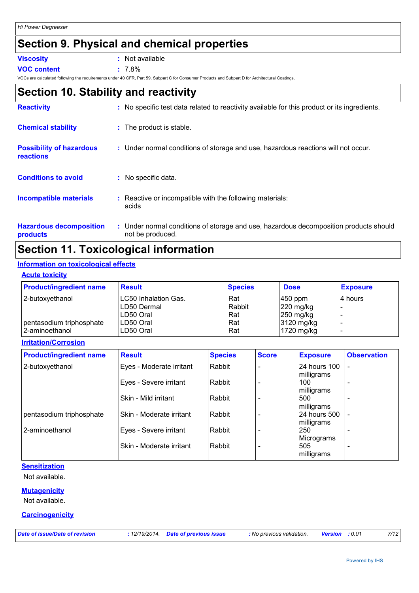## **Section 9. Physical and chemical properties**

| Viscositv |  |
|-----------|--|
|           |  |
|           |  |

**:** Not available

**VOC content :** 7.8%

VOCs are calculated following the requirements under 40 CFR, Part 59, Subpart C for Consumer Products and Subpart D for Architectural Coatings.

## **Section 10. Stability and reactivity**

| <b>Reactivity</b>                                   | : No specific test data related to reactivity available for this product or its ingredients.              |
|-----------------------------------------------------|-----------------------------------------------------------------------------------------------------------|
| <b>Chemical stability</b>                           | : The product is stable.                                                                                  |
| <b>Possibility of hazardous</b><br><b>reactions</b> | : Under normal conditions of storage and use, hazardous reactions will not occur.                         |
| <b>Conditions to avoid</b>                          | : No specific data.                                                                                       |
| Incompatible materials                              | Reactive or incompatible with the following materials:<br>acids                                           |
| <b>Hazardous decomposition</b><br>products          | : Under normal conditions of storage and use, hazardous decomposition products should<br>not be produced. |

## **Section 11. Toxicological information**

### **Information on toxicological effects**

#### **Acute toxicity**

| <b>Product/ingredient name</b> | <b>Result</b>         | <b>Species</b> | <b>Dose</b>           | <b>Exposure</b> |
|--------------------------------|-----------------------|----------------|-----------------------|-----------------|
| 2-butoxyethanol                | ILC50 Inhalation Gas. | Rat            | $450$ ppm             | 14 hours        |
|                                | LD50 Dermal           | Rabbit         | $ 220 \text{ mg/kg} $ |                 |
|                                | ILD50 Oral            | Rat            | $ 250 \text{ mg/kg} $ |                 |
| pentasodium triphosphate       | LD50 Oral             | Rat            | 3120 mg/kg            |                 |
| l 2-aminoethanol               | LD50 Oral             | Rat            | 1720 mg/kg            |                 |

**Irritation/Corrosion**

| <b>Product/ingredient name</b> | <b>Result</b>            | <b>Species</b> | <b>Score</b> | <b>Exposure</b>            | <b>Observation</b> |
|--------------------------------|--------------------------|----------------|--------------|----------------------------|--------------------|
| 2-butoxyethanol                | Eyes - Moderate irritant | Rabbit         |              | 24 hours 100<br>milligrams |                    |
|                                | Eyes - Severe irritant   | Rabbit         |              | 100<br>milligrams          |                    |
|                                | Skin - Mild irritant     | Rabbit         |              | 500<br>milligrams          |                    |
| pentasodium triphosphate       | Skin - Moderate irritant | Rabbit         |              | 24 hours 500<br>milligrams |                    |
| 2-aminoethanol                 | Eyes - Severe irritant   | Rabbit         |              | 250<br>Micrograms          |                    |
|                                | Skin - Moderate irritant | Rabbit         |              | 505<br>milligrams          |                    |

### **Sensitization**

Not available.

### **Mutagenicity**

Not available.

#### **Carcinogenicity**

*Date of issue/Date of revision* **:** *12/19/2014. Date of previous issue : No previous validation. Version : 0.01 7/12*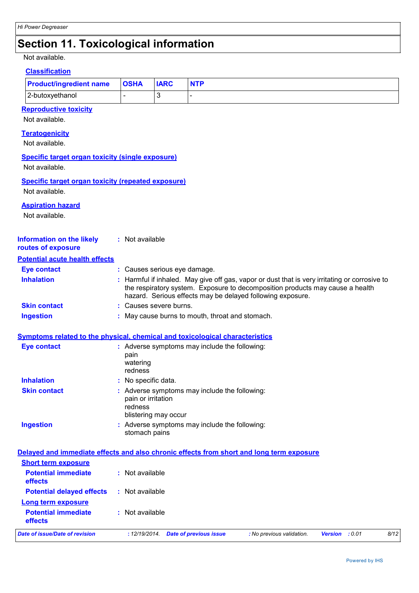## **Section 11. Toxicological information**

Not available.

#### **Classification**

| <b>Product/ingredient name   OSHA</b> |  | <b>IARC</b> | <b>NTP</b> |  |
|---------------------------------------|--|-------------|------------|--|
| 2-butoxyethanol                       |  |             |            |  |
| Danraduativa taviaitu.                |  |             |            |  |

### **Reproductive toxicity**

Not available.

#### **Teratogenicity**

Not available.

#### **Specific target organ toxicity (single exposure)**

Not available.

#### **Specific target organ toxicity (repeated exposure)**

Not available.

#### **Aspiration hazard**

Not available.

#### **Information on the likely routes of exposure :** Not available

#### **Potential acute health effects**

| Eye contact         | : Causes serious eye damage.                                                                                                                                                                                                                 |
|---------------------|----------------------------------------------------------------------------------------------------------------------------------------------------------------------------------------------------------------------------------------------|
| <b>Inhalation</b>   | : Harmful if inhaled. May give off gas, vapor or dust that is very irritating or corrosive to<br>the respiratory system. Exposure to decomposition products may cause a health<br>hazard. Serious effects may be delayed following exposure. |
| <b>Skin contact</b> | : Causes severe burns.                                                                                                                                                                                                                       |
| Ingestion           | : May cause burns to mouth, throat and stomach.                                                                                                                                                                                              |

#### **Symptoms related to the physical, chemical and toxicological characteristics**

| <b>Eye contact</b>  | : Adverse symptoms may include the following:<br>pain<br>watering<br>redness                           |
|---------------------|--------------------------------------------------------------------------------------------------------|
| <b>Inhalation</b>   | : No specific data.                                                                                    |
| <b>Skin contact</b> | : Adverse symptoms may include the following:<br>pain or irritation<br>redness<br>blistering may occur |
| <b>Ingestion</b>    | : Adverse symptoms may include the following:<br>stomach pains                                         |

### **Delayed and immediate effects and also chronic effects from short and long term exposure**

| Date of issue/Date of revision               | <b>Date of previous issue</b><br>:12/19/2014. | : No previous validation. | <b>Version</b> : 0.01 | 8/12 |
|----------------------------------------------|-----------------------------------------------|---------------------------|-----------------------|------|
| <b>Potential immediate</b><br><b>effects</b> | : Not available                               |                           |                       |      |
| <b>Long term exposure</b>                    |                                               |                           |                       |      |
| <b>Potential delayed effects</b>             | : Not available                               |                           |                       |      |
| <b>Potential immediate</b><br><b>effects</b> | : Not available                               |                           |                       |      |
| <b>Short term exposure</b>                   |                                               |                           |                       |      |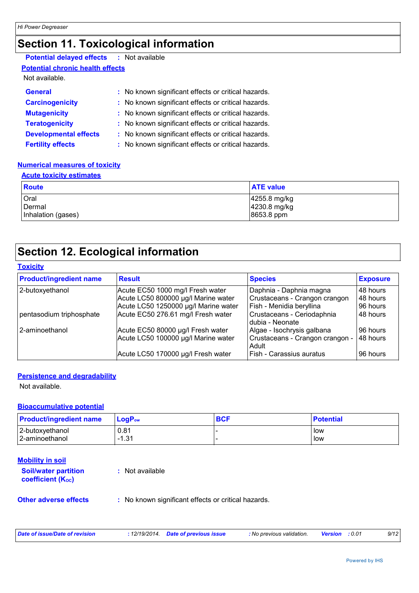## **Section 11. Toxicological information**

### **Potential delayed effects :** Not available

**Potential chronic health effects**

### Not available.

| <b>General</b>               | : No known significant effects or critical hazards. |
|------------------------------|-----------------------------------------------------|
| <b>Carcinogenicity</b>       | : No known significant effects or critical hazards. |
| <b>Mutagenicity</b>          | : No known significant effects or critical hazards. |
| <b>Teratogenicity</b>        | : No known significant effects or critical hazards. |
| <b>Developmental effects</b> | : No known significant effects or critical hazards. |
| <b>Fertility effects</b>     | : No known significant effects or critical hazards. |

#### **Numerical measures of toxicity**

### **Acute toxicity estimates**

| <b>Route</b>       | <b>ATE value</b>         |
|--------------------|--------------------------|
| Oral               | $ 4255.8 \text{ mg/kg} $ |
| Dermal             | 4230.8 mg/kg             |
| Inhalation (gases) | 8653.8 ppm               |

### **Section 12. Ecological information**

### **Toxicity**

| <b>Product/ingredient name</b> | <b>Result</b>                        | <b>Species</b>                                 | <b>Exposure</b> |
|--------------------------------|--------------------------------------|------------------------------------------------|-----------------|
| 2-butoxyethanol                | Acute EC50 1000 mg/l Fresh water     | Daphnia - Daphnia magna                        | 48 hours        |
|                                | Acute LC50 800000 µg/l Marine water  | Crustaceans - Crangon crangon                  | 48 hours        |
|                                | Acute LC50 1250000 µg/l Marine water | Fish - Menidia beryllina                       | 96 hours        |
| pentasodium triphosphate       | Acute EC50 276.61 mg/l Fresh water   | Crustaceans - Ceriodaphnia<br>Idubia - Neonate | 48 hours        |
| 2-aminoethanol                 | Acute EC50 80000 µg/l Fresh water    | Algae - Isochrysis galbana                     | 96 hours        |
|                                | Acute LC50 100000 µg/l Marine water  | Crustaceans - Crangon crangon -<br>Adult       | 48 hours        |
|                                | Acute LC50 170000 µg/l Fresh water   | Fish - Carassius auratus                       | 96 hours        |

#### **Persistence and degradability**

Not available.

#### **Bioaccumulative potential**

| <b>Product/ingredient name</b>    | $\mathsf{LogP}_\mathsf{ow}$ | <b>BCF</b> | <b>Potential</b> |
|-----------------------------------|-----------------------------|------------|------------------|
| 2-butoxyethanol<br>2-aminoethanol | 0.81<br>121<br>-1.0.        |            | low<br>low       |

### **Mobility in soil**

| <b>Soil/water partition</b><br><b>coefficient (Koc)</b> | : Not available              |
|---------------------------------------------------------|------------------------------|
| Othor advarce offects                                   | . No known cianificant offee |

### **Other adverse effects** : No known significant effects or critical hazards.

| Date of issue/Date of revision | : 12/19/2014 Date of previous issue | : No previous validation. | <b>Version</b> : 0.01 | 9/12 |
|--------------------------------|-------------------------------------|---------------------------|-----------------------|------|
|                                |                                     |                           |                       |      |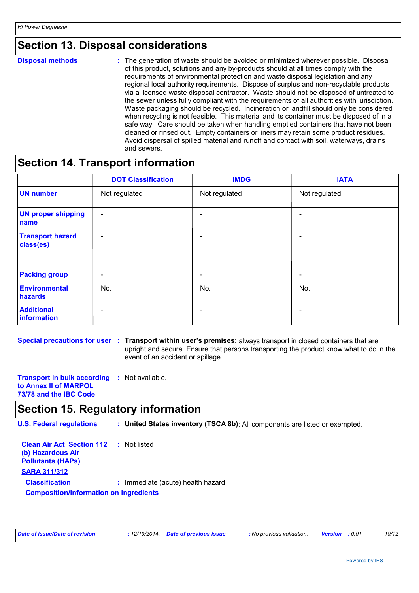### **Section 13. Disposal considerations**

**Disposal methods :**

The generation of waste should be avoided or minimized wherever possible. Disposal of this product, solutions and any by-products should at all times comply with the requirements of environmental protection and waste disposal legislation and any regional local authority requirements. Dispose of surplus and non-recyclable products via a licensed waste disposal contractor. Waste should not be disposed of untreated to the sewer unless fully compliant with the requirements of all authorities with jurisdiction. Waste packaging should be recycled. Incineration or landfill should only be considered when recycling is not feasible. This material and its container must be disposed of in a safe way. Care should be taken when handling emptied containers that have not been cleaned or rinsed out. Empty containers or liners may retain some product residues. Avoid dispersal of spilled material and runoff and contact with soil, waterways, drains and sewers.

### **Section 14. Transport information**

|                                      | <b>DOT Classification</b> | <b>IMDG</b>   | <b>IATA</b>   |
|--------------------------------------|---------------------------|---------------|---------------|
| <b>UN number</b>                     | Not regulated             | Not regulated | Not regulated |
| <b>UN proper shipping</b><br>name    | $\overline{\phantom{a}}$  |               |               |
| <b>Transport hazard</b><br>class(es) | $\overline{\phantom{0}}$  |               |               |
| <b>Packing group</b>                 | $\overline{\phantom{0}}$  | -             | -             |
| <b>Environmental</b><br>hazards      | No.                       | No.           | No.           |
| <b>Additional</b><br>information     |                           |               |               |

**Special precautions for user : Transport within user's premises: always transport in closed containers that are** upright and secure. Ensure that persons transporting the product know what to do in the event of an accident or spillage.

**Transport in bulk according :** Not available. **to Annex II of MARPOL 73/78 and the IBC Code**

### **Section 15. Regulatory information**

**U.S. Federal regulations : United States inventory (TSCA 8b)**: All components are listed or exempted.

| <b>Clean Air Act Section 112 : Not listed</b> |                                   |
|-----------------------------------------------|-----------------------------------|
| (b) Hazardous Air                             |                                   |
| <b>Pollutants (HAPs)</b>                      |                                   |
| <b>SARA 311/312</b>                           |                                   |
| <b>Classification</b>                         | : Immediate (acute) health hazard |
| <b>Composition/information on ingredients</b> |                                   |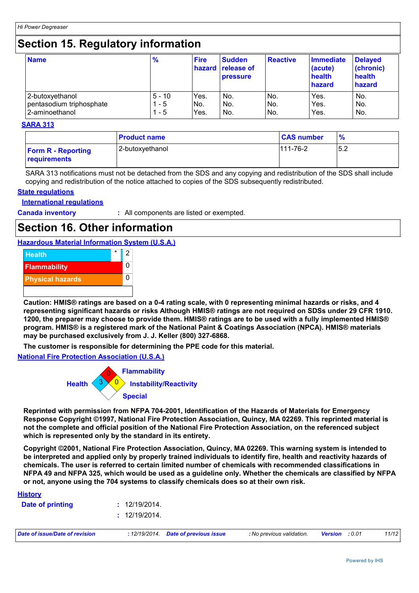### **Section 15. Regulatory information**

| <b>Name</b>              | $\frac{9}{6}$ | <b>Fire</b> | <b>Sudden</b><br><b>hazard release of</b><br><b>pressure</b> | <b>Reactive</b> | <b>Immediate</b><br>(acute)<br>health<br>hazard | <b>Delayed</b><br>(chronic)<br>health<br>hazard |
|--------------------------|---------------|-------------|--------------------------------------------------------------|-----------------|-------------------------------------------------|-------------------------------------------------|
| 2-butoxyethanol          | $5 - 10$      | Yes.        | No.                                                          | No.             | Yes.                                            | No.                                             |
| pentasodium triphosphate | - 5           | No.         | No.                                                          | No.             | Yes.                                            | No.                                             |
| 2-aminoethanol           | - 5           | Yes.        | No.                                                          | No.             | Yes.                                            | No.                                             |

#### **SARA 313**

|                                           | <b>Product name</b> | <b>CAS number</b> | %   |
|-------------------------------------------|---------------------|-------------------|-----|
| <b>Form R - Reporting</b><br>requirements | 2-butoxyethanol     | 111-76-2          | 5.2 |

SARA 313 notifications must not be detached from the SDS and any copying and redistribution of the SDS shall include copying and redistribution of the notice attached to copies of the SDS subsequently redistributed.

#### **State regulations**

#### **International regulations**

**Canada inventory :** All components are listed or exempted.

### **Section 16. Other information**

### **Hazardous Material Information System (U.S.A.)**



**Caution: HMIS® ratings are based on a 0-4 rating scale, with 0 representing minimal hazards or risks, and 4 representing significant hazards or risks Although HMIS® ratings are not required on SDSs under 29 CFR 1910. 1200, the preparer may choose to provide them. HMIS® ratings are to be used with a fully implemented HMIS® program. HMIS® is a registered mark of the National Paint & Coatings Association (NPCA). HMIS® materials may be purchased exclusively from J. J. Keller (800) 327-6868.**

**The customer is responsible for determining the PPE code for this material.**

#### **National Fire Protection Association (U.S.A.)**



**Reprinted with permission from NFPA 704-2001, Identification of the Hazards of Materials for Emergency Response Copyright ©1997, National Fire Protection Association, Quincy, MA 02269. This reprinted material is not the complete and official position of the National Fire Protection Association, on the referenced subject which is represented only by the standard in its entirety.**

**Copyright ©2001, National Fire Protection Association, Quincy, MA 02269. This warning system is intended to be interpreted and applied only by properly trained individuals to identify fire, health and reactivity hazards of chemicals. The user is referred to certain limited number of chemicals with recommended classifications in NFPA 49 and NFPA 325, which would be used as a guideline only. Whether the chemicals are classified by NFPA or not, anyone using the 704 systems to classify chemicals does so at their own risk.**

| Date of issue/Date of revision |               | : 12/19/2014. Date of previous issue | : No previous validation. | <b>Version</b> : 0.01 | 11/12 |
|--------------------------------|---------------|--------------------------------------|---------------------------|-----------------------|-------|
|                                | : 12/19/2014. |                                      |                           |                       |       |
| Date of printing               | : 12/19/2014. |                                      |                           |                       |       |
| <b>History</b>                 |               |                                      |                           |                       |       |